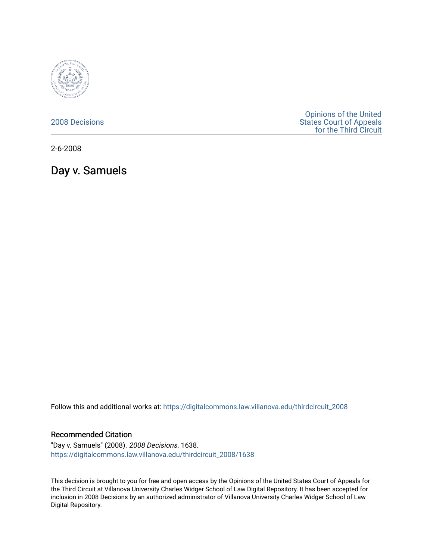

[2008 Decisions](https://digitalcommons.law.villanova.edu/thirdcircuit_2008)

[Opinions of the United](https://digitalcommons.law.villanova.edu/thirdcircuit)  [States Court of Appeals](https://digitalcommons.law.villanova.edu/thirdcircuit)  [for the Third Circuit](https://digitalcommons.law.villanova.edu/thirdcircuit) 

2-6-2008

Day v. Samuels

Follow this and additional works at: [https://digitalcommons.law.villanova.edu/thirdcircuit\\_2008](https://digitalcommons.law.villanova.edu/thirdcircuit_2008?utm_source=digitalcommons.law.villanova.edu%2Fthirdcircuit_2008%2F1638&utm_medium=PDF&utm_campaign=PDFCoverPages) 

#### Recommended Citation

"Day v. Samuels" (2008). 2008 Decisions. 1638. [https://digitalcommons.law.villanova.edu/thirdcircuit\\_2008/1638](https://digitalcommons.law.villanova.edu/thirdcircuit_2008/1638?utm_source=digitalcommons.law.villanova.edu%2Fthirdcircuit_2008%2F1638&utm_medium=PDF&utm_campaign=PDFCoverPages) 

This decision is brought to you for free and open access by the Opinions of the United States Court of Appeals for the Third Circuit at Villanova University Charles Widger School of Law Digital Repository. It has been accepted for inclusion in 2008 Decisions by an authorized administrator of Villanova University Charles Widger School of Law Digital Repository.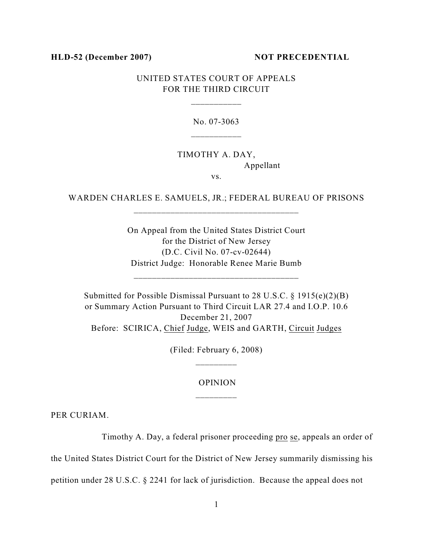#### **HLD-52 (December 2007) NOT PRECEDENTIAL**

# UNITED STATES COURT OF APPEALS FOR THE THIRD CIRCUIT

\_\_\_\_\_\_\_\_\_\_\_

No. 07-3063

# TIMOTHY A. DAY, Appellant

vs.

WARDEN CHARLES E. SAMUELS, JR.; FEDERAL BUREAU OF PRISONS \_\_\_\_\_\_\_\_\_\_\_\_\_\_\_\_\_\_\_\_\_\_\_\_\_\_\_\_\_\_\_\_\_\_\_\_

> On Appeal from the United States District Court for the District of New Jersey (D.C. Civil No. 07-cv-02644) District Judge: Honorable Renee Marie Bumb

\_\_\_\_\_\_\_\_\_\_\_\_\_\_\_\_\_\_\_\_\_\_\_\_\_\_\_\_\_\_\_\_\_\_\_\_

Submitted for Possible Dismissal Pursuant to 28 U.S.C. § 1915(e)(2)(B) or Summary Action Pursuant to Third Circuit LAR 27.4 and I.O.P. 10.6 December 21, 2007 Before: SCIRICA, Chief Judge, WEIS and GARTH, Circuit Judges

(Filed: February 6, 2008)

### OPINION \_\_\_\_\_\_\_\_\_

PER CURIAM.

Timothy A. Day, a federal prisoner proceeding pro se, appeals an order of

the United States District Court for the District of New Jersey summarily dismissing his

petition under 28 U.S.C. § 2241 for lack of jurisdiction. Because the appeal does not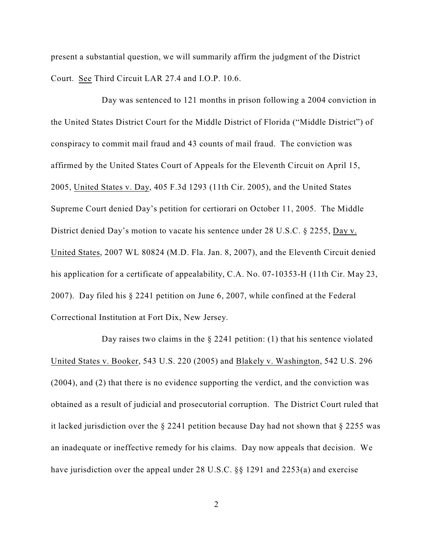present a substantial question, we will summarily affirm the judgment of the District Court. See Third Circuit LAR 27.4 and I.O.P. 10.6.

Day was sentenced to 121 months in prison following a 2004 conviction in the United States District Court for the Middle District of Florida ("Middle District") of conspiracy to commit mail fraud and 43 counts of mail fraud. The conviction was affirmed by the United States Court of Appeals for the Eleventh Circuit on April 15, 2005, United States v. Day, 405 F.3d 1293 (11th Cir. 2005), and the United States Supreme Court denied Day's petition for certiorari on October 11, 2005. The Middle District denied Day's motion to vacate his sentence under 28 U.S.C. § 2255, Day v. United States, 2007 WL 80824 (M.D. Fla. Jan. 8, 2007), and the Eleventh Circuit denied his application for a certificate of appealability, C.A. No. 07-10353-H (11th Cir. May 23, 2007). Day filed his § 2241 petition on June 6, 2007, while confined at the Federal Correctional Institution at Fort Dix, New Jersey.

Day raises two claims in the  $\S$  2241 petition: (1) that his sentence violated United States v. Booker, 543 U.S. 220 (2005) and Blakely v. Washington, 542 U.S. 296 (2004), and (2) that there is no evidence supporting the verdict, and the conviction was obtained as a result of judicial and prosecutorial corruption. The District Court ruled that it lacked jurisdiction over the § 2241 petition because Day had not shown that § 2255 was an inadequate or ineffective remedy for his claims. Day now appeals that decision. We have jurisdiction over the appeal under 28 U.S.C. §§ 1291 and 2253(a) and exercise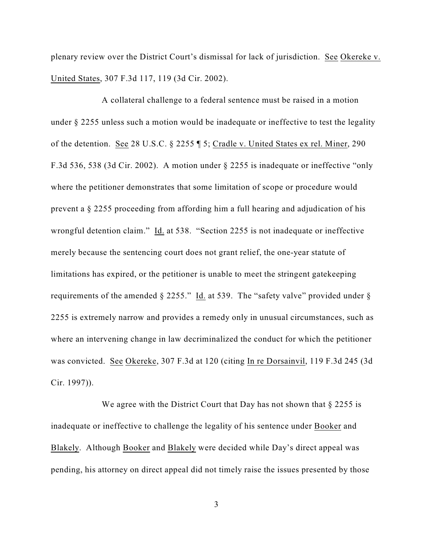plenary review over the District Court's dismissal for lack of jurisdiction. See Okereke v. United States, 307 F.3d 117, 119 (3d Cir. 2002).

A collateral challenge to a federal sentence must be raised in a motion under § 2255 unless such a motion would be inadequate or ineffective to test the legality of the detention. See 28 U.S.C. § 2255 ¶ 5; Cradle v. United States ex rel. Miner, 290 F.3d 536, 538 (3d Cir. 2002). A motion under § 2255 is inadequate or ineffective "only where the petitioner demonstrates that some limitation of scope or procedure would prevent a § 2255 proceeding from affording him a full hearing and adjudication of his wrongful detention claim." Id. at 538. "Section 2255 is not inadequate or ineffective merely because the sentencing court does not grant relief, the one-year statute of limitations has expired, or the petitioner is unable to meet the stringent gatekeeping requirements of the amended § 2255." Id. at 539. The "safety valve" provided under § 2255 is extremely narrow and provides a remedy only in unusual circumstances, such as where an intervening change in law decriminalized the conduct for which the petitioner was convicted. See Okereke, 307 F.3d at 120 (citing In re Dorsainvil, 119 F.3d 245 (3d Cir. 1997)).

We agree with the District Court that Day has not shown that  $\S 2255$  is inadequate or ineffective to challenge the legality of his sentence under Booker and Blakely. Although Booker and Blakely were decided while Day's direct appeal was pending, his attorney on direct appeal did not timely raise the issues presented by those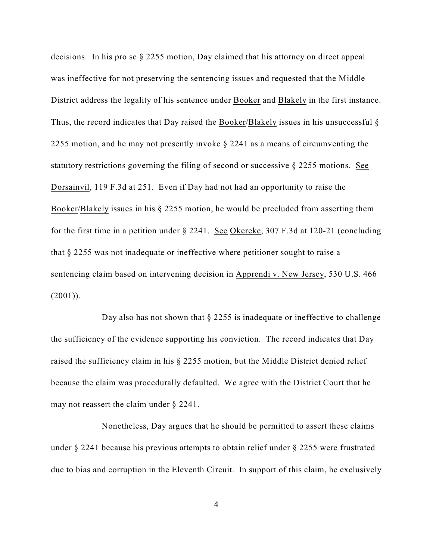decisions. In his pro se § 2255 motion, Day claimed that his attorney on direct appeal was ineffective for not preserving the sentencing issues and requested that the Middle District address the legality of his sentence under Booker and Blakely in the first instance. Thus, the record indicates that Day raised the Booker/Blakely issues in his unsuccessful § 2255 motion, and he may not presently invoke § 2241 as a means of circumventing the statutory restrictions governing the filing of second or successive § 2255 motions. See Dorsainvil, 119 F.3d at 251. Even if Day had not had an opportunity to raise the Booker/Blakely issues in his § 2255 motion, he would be precluded from asserting them for the first time in a petition under § 2241. See Okereke, 307 F.3d at 120-21 (concluding that § 2255 was not inadequate or ineffective where petitioner sought to raise a sentencing claim based on intervening decision in Apprendi v. New Jersey, 530 U.S. 466  $(2001)$ ).

Day also has not shown that  $\S 2255$  is inadequate or ineffective to challenge the sufficiency of the evidence supporting his conviction. The record indicates that Day raised the sufficiency claim in his § 2255 motion, but the Middle District denied relief because the claim was procedurally defaulted. We agree with the District Court that he may not reassert the claim under § 2241.

Nonetheless, Day argues that he should be permitted to assert these claims under § 2241 because his previous attempts to obtain relief under § 2255 were frustrated due to bias and corruption in the Eleventh Circuit. In support of this claim, he exclusively